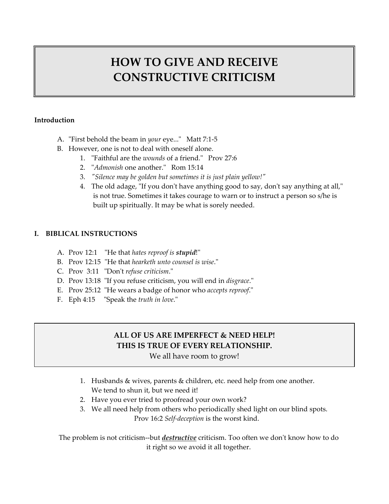# **HOW TO GIVE AND RECEIVE CONSTRUCTIVE CRITICISM**

#### **Introduction**

- A. "First behold the beam in *your* eye..." Matt 7:1-5
- B. However, one is not to deal with oneself alone.
	- 1. "Faithful are the *wounds* of a friend." Prov 27:6
	- 2. "*Admonish* one another." Rom 15:14
	- 3. *ʺSilence may be golden but sometimes it is just plain yellow!ʺ*
	- 4. The old adage, "If you don't have anything good to say, don't say anything at all," is not true. Sometimes it takes courage to warn or to instruct a person so s/he is built up spiritually. It may be what is sorely needed.

#### **I. BIBLICAL INSTRUCTIONS**

- A. Prov 12:1 "He that *hates reproof* is *stupid*!"
- B. Prov 12:15 "He that *hearketh unto counsel is wise*."
- C. Prov 3:11 ʺDonʹt *refuse criticism*.ʺ
- D. Prov 13:18 "If you refuse criticism, you will end in *disgrace*."
- E. Prov 25:12 "He wears a badge of honor who *accepts reproof*."
- F. Eph 4:15 "Speak the *truth in love*."

## **ALL OF US ARE IMPERFECT & NEED HELP! THIS IS TRUE OF EVERY RELATIONSHIP.**

We all have room to grow!

- 1. Husbands & wives, parents & children, etc. need help from one another. We tend to shun it, but we need it!
- 2. Have you ever tried to proofread your own work?
- 3. We all need help from others who periodically shed light on our blind spots. Prov 16:2 *Self‐deception* is the worst kind.

The problem is not criticism--but *destructive* criticism. Too often we don't know how to do it right so we avoid it all together.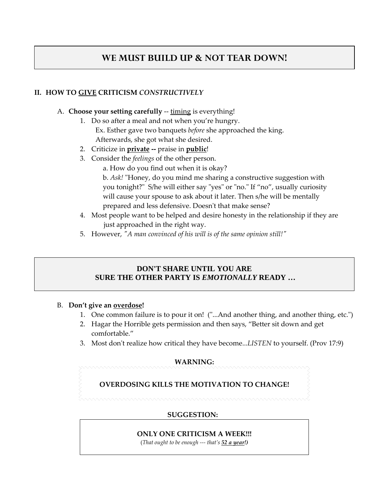## **WE MUST BUILD UP & NOT TEAR DOWN!**

#### **II. HOW TO GIVE CRITICISM** *CONSTRUCTIVELY*

- A. **Choose your setting carefully** ‐‐ timing is everything!
	- 1. Do so after a meal and not when you're hungry. Ex. Esther gave two banquets *before* she approached the king. Afterwards, she got what she desired.
	- 2. Criticize in **private ‐‐** praise in **public**!
	- 3. Consider the *feelings* of the other person.
		- a. How do you find out when it is okay?

b. *Ask!* "Honey, do you mind me sharing a constructive suggestion with you tonight?" S/he will either say "yes" or "no." If "no", usually curiosity will cause your spouse to ask about it later. Then s/he will be mentally prepared and less defensive. Doesn't that make sense?

- 4. Most people want to be helped and desire honesty in the relationship if they are just approached in the right way.
- 5. However, *ʺA man convinced of his will is of the same opinion still!ʺ*

#### **DON'T SHARE UNTIL YOU ARE SURE THE OTHER PARTY IS** *EMOTIONALLY* **READY …**

#### B. **Don't give an overdose!**

- 1. One common failure is to pour it on! ("...And another thing, and another thing, etc.")
- 2. Hagar the Horrible gets permission and then says, "Better sit down and get comfortable."
- 3. Most donʹt realize how critical they have become...*LISTEN* to yourself. (Prov 17:9)

#### **WARNING:**

#### **OVERDOSING KILLS THE MOTIVATION TO CHANGE!**

#### **SUGGESTION:**

#### **ONLY ONE CRITICISM A WEEK!!!**

(*That ought to be enough ‐‐‐ that's 52 a year!)*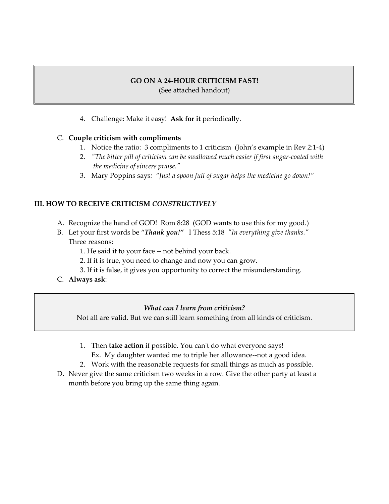#### **GO ON A 24‐HOUR CRITICISM FAST!**

(See attached handout)

4. Challenge: Make it easy! **Ask for it** periodically.

#### C. **Couple criticism with compliments**

- 1. Notice the ratio: 3 compliments to 1 criticism (John's example in Rev 2:1‐4)
- 2. *ʺThe bitter pill of criticism can be swallowed much easier if first sugar‐coated with the medicine of sincere praise.ʺ*
- 3. Mary Poppins says*: "Just a spoon full of sugar helps the medicine go down!"*

#### **III. HOW TO RECEIVE CRITICISM** *CONSTRUCTIVELY*

- A. Recognize the hand of GOD! Rom 8:28 (GOD wants to use this for my good.)
- B. Let your first words be "Thank you!" I Thess 5:18 "In everything give thanks." Three reasons:
	- 1. He said it to your face ‐‐ not behind your back.
	- 2. If it is true, you need to change and now you can grow.
	- 3. If it is false, it gives you opportunity to correct the misunderstanding.
- C. **Always ask**:

#### *What can I learn from criticism?*

Not all are valid. But we can still learn something from all kinds of criticism.

- 1. Then **take action** if possible. You can't do what everyone says!
- Ex. My daughter wanted me to triple her allowance--not a good idea.
- 2. Work with the reasonable requests for small things as much as possible.
- D. Never give the same criticism two weeks in a row. Give the other party at least a month before you bring up the same thing again.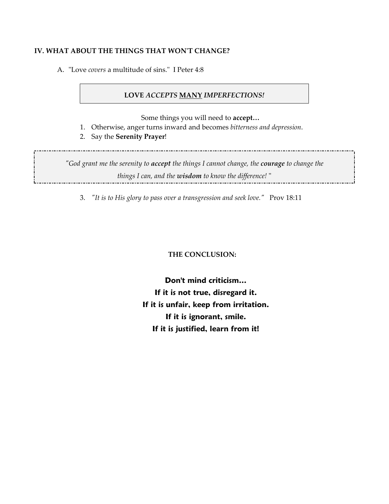#### **IV. WHAT ABOUT THE THINGS THAT WONʹT CHANGE?**

A. "Love *covers* a multitude of sins." I Peter 4:8

#### **LOVE** *ACCEPTS* **MANY** *IMPERFECTIONS!*

Some things you will need to **accept…**

- 1. Otherwise, anger turns inward and becomes *bitterness and depression*.
- 2. Say the **Serenity Prayer**!

*ʺGod grant me the serenity to accept the things I cannot change, the courage to change the things I can, and the wisdom to know the difference!* ʺ 

3. *ʺIt is to His glory to pass over a transgression and seek love.ʺ* Prov 18:11

 **THE CONCLUSION:**

**Don't mind criticism… If it is not true, disregard it. If it is unfair, keep from irritation. If it is ignorant, smile. If it is justified, learn from it!**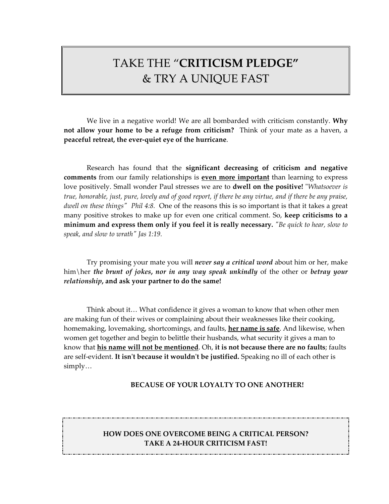## TAKE THE "**CRITICISM PLEDGE"** & TRY A UNIQUE FAST

We live in a negative world! We are all bombarded with criticism constantly. **Why not allow your home to be a refuge from criticism?** Think of your mate as a haven, a **peaceful retreat, the ever‐quiet eye of the hurricane**.

Research has found that the **significant decreasing of criticism and negative comments** from our family relationships is **even more important** than learning to express love positively. Small wonder Paul stresses we are to **dwell on the positive!** "Whatsoever is true, honorable, just, pure, lovely and of good report, if there be any virtue, and if there be any praise, *dwell on these thingsʺ Phil 4:8.* One of the reasons this is so important is that it takes a great many positive strokes to make up for even one critical comment. So, **keep criticisms to a** minimum and express them only if you feel it is really necessary. "Be quick to hear, slow to *speak, and slow to wrathʺ Jas 1:19.*

Try promising your mate you will *never say a critical word* about him or her, make him\her *the brunt of jokes***,** *nor in any way speak unkindly* of the other or *betray your relationship***, and ask your partner to do the same!**

Think about it… What confidence it gives a woman to know that when other men are making fun of their wives or complaining about their weaknesses like their cooking, homemaking, lovemaking, shortcomings, and faults, **her name is safe**. And likewise, when women get together and begin to belittle their husbands, what security it gives a man to know that **his name will not be mentioned**. Oh, **it is not because there are no faults**; faults are self‐evident. **It isnʹt because it wouldnʹt be justified.** Speaking no ill of each other is simply…

#### **BECAUSE OF YOUR LOYALTY TO ONE ANOTHER!**

#### **HOW DOES ONE OVERCOME BEING A CRITICAL PERSON? TAKE A 24‐HOUR CRITICISM FAST!**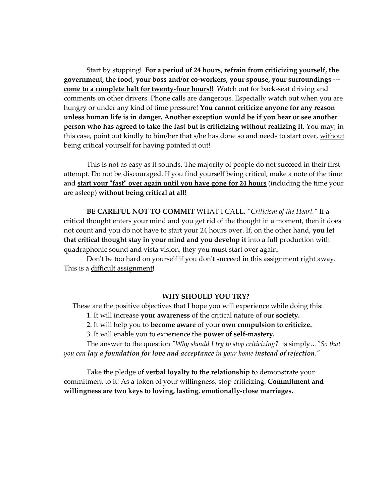Start by stopping! **For a period of 24 hours, refrain from criticizing yourself, the government, the food, your boss and/or co‐workers, your spouse, your surroundings ‐‐‐ come to a complete halt for twenty‐four hours!!** Watch out for back‐seat driving and comments on other drivers. Phone calls are dangerous. Especially watch out when you are hungry or under any kind of time pressure! **You cannot criticize anyone for any reason unless human life is in danger. Another exception would be if you hear or see another person who has agreed to take the fast but is criticizing without realizing it.** You may, in this case, point out kindly to him/her that s/he has done so and needs to start over, without being critical yourself for having pointed it out!

This is not as easy as it sounds. The majority of people do not succeed in their first attempt. Do not be discouraged. If you find yourself being critical, make a note of the time and **start your** "fast" **over again until you have gone for 24 hours** (including the time your are asleep) **without being critical at all!**

**BE CAREFUL NOT TO COMMIT** WHAT I CALL, *ʺCriticism of the Heart.ʺ* If a critical thought enters your mind and you get rid of the thought in a moment, then it does not count and you do not have to start your 24 hours over. If, on the other hand, **you let that critical thought stay in your mind and you develop it** into a full production with quadraphonic sound and vista vision, they you must start over again.

Don't be too hard on yourself if you don't succeed in this assignment right away. This is a difficult assignment**!**

#### **WHY SHOULD YOU TRY?**

These are the positive objectives that I hope you will experience while doing this:

1. It will increase **your awareness** of the critical nature of our **society.**

2. It will help you to **become aware** of your **own compulsion to criticize.**

3. It will enable you to experience the **power of self‐mastery.**

The answer to the question *ʺWhy should I try to stop criticizing?* is simply…*ʺSo that you can lay a foundation for love and acceptance in your home instead of rejection.ʺ*

Take the pledge of **verbal loyalty to the relationship** to demonstrate your commitment to it! As a token of your willingness, stop criticizing. **Commitment and willingness are two keys to loving, lasting, emotionally‐close marriages.**